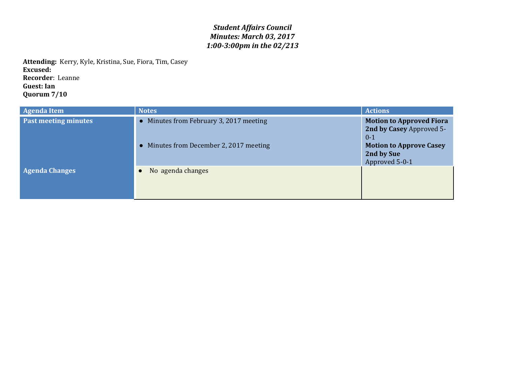## *Student Affairs Council Minutes: March 03, 2017 1:00-3:00pm in the 02/213*

**Attending:** Kerry, Kyle, Kristina, Sue, Fiora, Tim, Casey **Excused: Recorder**: Leanne **Guest: Ian Quorum 7/10**

| <b>Agenda Item</b>    | <b>Notes</b>                                                                       | <b>Actions</b>                                                                                                                           |
|-----------------------|------------------------------------------------------------------------------------|------------------------------------------------------------------------------------------------------------------------------------------|
| Past meeting minutes  | • Minutes from February 3, 2017 meeting<br>• Minutes from December 2, 2017 meeting | <b>Motion to Approved Fiora</b><br>2nd by Casey Approved 5-<br>$0 - 1$<br><b>Motion to Approve Casey</b><br>2nd by Sue<br>Approved 5-0-1 |
| <b>Agenda Changes</b> | No agenda changes                                                                  |                                                                                                                                          |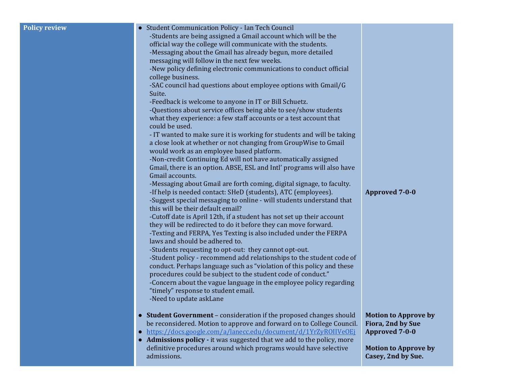| <b>Policy review</b> | • Student Communication Policy - Ian Tech Council                                                                                          |                             |
|----------------------|--------------------------------------------------------------------------------------------------------------------------------------------|-----------------------------|
|                      | -Students are being assigned a Gmail account which will be the                                                                             |                             |
|                      | official way the college will communicate with the students.                                                                               |                             |
|                      | -Messaging about the Gmail has already begun, more detailed                                                                                |                             |
|                      | messaging will follow in the next few weeks.                                                                                               |                             |
|                      | -New policy defining electronic communications to conduct official<br>college business.                                                    |                             |
|                      | -SAC council had questions about employee options with Gmail/G                                                                             |                             |
|                      | Suite.                                                                                                                                     |                             |
|                      | -Feedback is welcome to anyone in IT or Bill Schuetz.                                                                                      |                             |
|                      | -Questions about service offices being able to see/show students                                                                           |                             |
|                      | what they experience: a few staff accounts or a test account that                                                                          |                             |
|                      | could be used.                                                                                                                             |                             |
|                      | - IT wanted to make sure it is working for students and will be taking                                                                     |                             |
|                      | a close look at whether or not changing from GroupWise to Gmail<br>would work as an employee based platform.                               |                             |
|                      | -Non-credit Continuing Ed will not have automatically assigned                                                                             |                             |
|                      | Gmail, there is an option. ABSE, ESL and Intl' programs will also have                                                                     |                             |
|                      | Gmail accounts.                                                                                                                            |                             |
|                      | -Messaging about Gmail are forth coming, digital signage, to faculty.                                                                      |                             |
|                      | -If help is needed contact: SHeD (students), ATC (employees).                                                                              | <b>Approved 7-0-0</b>       |
|                      | -Suggest special messaging to online - will students understand that                                                                       |                             |
|                      | this will be their default email?<br>-Cutoff date is April 12th, if a student has not set up their account                                 |                             |
|                      | they will be redirected to do it before they can move forward.                                                                             |                             |
|                      | -Texting and FERPA, Yes Texting is also included under the FERPA                                                                           |                             |
|                      | laws and should be adhered to.                                                                                                             |                             |
|                      | -Students requesting to opt-out: they cannot opt-out.                                                                                      |                             |
|                      | -Student policy - recommend add relationships to the student code of                                                                       |                             |
|                      | conduct. Perhaps language such as "violation of this policy and these                                                                      |                             |
|                      | procedures could be subject to the student code of conduct."                                                                               |                             |
|                      | -Concern about the vague language in the employee policy regarding<br>"timely" response to student email.                                  |                             |
|                      | -Need to update askLane                                                                                                                    |                             |
|                      |                                                                                                                                            |                             |
|                      | • Student Government - consideration if the proposed changes should                                                                        | <b>Motion to Approve by</b> |
|                      | be reconsidered. Motion to approve and forward on to College Council.                                                                      | Fiora, 2nd by Sue           |
|                      | https://docs.google.com/a/lanecc.edu/document/d/1YrZyROIIVeOEi<br>$\bullet$                                                                | <b>Approved 7-0-0</b>       |
|                      | • Admissions policy - it was suggested that we add to the policy, more<br>definitive procedures around which programs would have selective | <b>Motion to Approve by</b> |
|                      | admissions.                                                                                                                                | Casey, 2nd by Sue.          |
|                      |                                                                                                                                            |                             |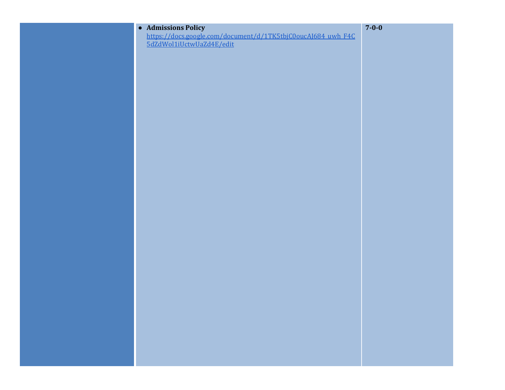| • Admissions Policy                                                                      | $7 - 0 - 0$ |
|------------------------------------------------------------------------------------------|-------------|
| https://docs.google.com/document/d/1TK5tbjC0oucAJ684_uwh_F4C<br>5dZdWol1iUctwUaZd4E/edit |             |
|                                                                                          |             |
|                                                                                          |             |
|                                                                                          |             |
|                                                                                          |             |
|                                                                                          |             |
|                                                                                          |             |
|                                                                                          |             |
|                                                                                          |             |
|                                                                                          |             |
|                                                                                          |             |
|                                                                                          |             |
|                                                                                          |             |
|                                                                                          |             |
|                                                                                          |             |
|                                                                                          |             |
|                                                                                          |             |
|                                                                                          |             |
|                                                                                          |             |
|                                                                                          |             |
|                                                                                          |             |
|                                                                                          |             |
|                                                                                          |             |
|                                                                                          |             |
|                                                                                          |             |
|                                                                                          |             |
|                                                                                          |             |
|                                                                                          |             |
|                                                                                          |             |
|                                                                                          |             |
|                                                                                          |             |
|                                                                                          |             |
|                                                                                          |             |
|                                                                                          |             |
|                                                                                          |             |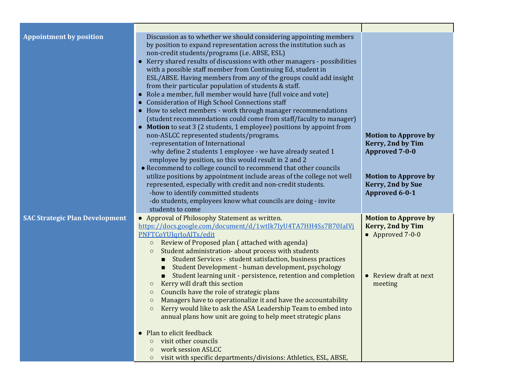| <b>Appointment by position</b>        | Discussion as to whether we should considering appointing members<br>by position to expand representation across the institution such as<br>non-credit students/programs (i.e. ABSE, ESL)<br>Kerry shared results of discussions with other managers - possibilities<br>$\bullet$<br>with a possible staff member from Continuing Ed, student in<br>ESL/ABSE. Having members from any of the groups could add insight<br>from their particular population of students & staff.<br>Role a member, full member would have (full voice and vote)<br>$\bullet$<br><b>Consideration of High School Connections staff</b><br>• How to select members - work through manager recommendations<br>(student recommendations could come from staff/faculty to manager)<br>• Motion to seat 3 (2 students, 1 employee) positions by appoint from<br>non-ASLCC represented students/programs.<br>-representation of International<br>-why define 2 students 1 employee - we have already seated 1<br>employee by position, so this would result in 2 and 2<br>• Recommend to college council to recommend that other councils<br>utilize positions by appointment include areas of the college not well<br>represented, especially with credit and non-credit students.<br>-how to identify committed students<br>-do students, employees know what councils are doing - invite<br>students to come | <b>Motion to Approve by</b><br>Kerry, 2nd by Tim<br><b>Approved 7-0-0</b><br><b>Motion to Approve by</b><br>Kerry, 2nd by Sue<br><b>Approved 6-0-1</b> |
|---------------------------------------|----------------------------------------------------------------------------------------------------------------------------------------------------------------------------------------------------------------------------------------------------------------------------------------------------------------------------------------------------------------------------------------------------------------------------------------------------------------------------------------------------------------------------------------------------------------------------------------------------------------------------------------------------------------------------------------------------------------------------------------------------------------------------------------------------------------------------------------------------------------------------------------------------------------------------------------------------------------------------------------------------------------------------------------------------------------------------------------------------------------------------------------------------------------------------------------------------------------------------------------------------------------------------------------------------------------------------------------------------------------------------------------|--------------------------------------------------------------------------------------------------------------------------------------------------------|
| <b>SAC Strategic Plan Development</b> | • Approval of Philosophy Statement as written.<br>https://docs.google.com/document/d/1wtlk7IyU4TA7HH4Ss7B70IaIVj<br>PNFTCoYUJqrIoAlTs/edit<br>Review of Proposed plan (attached with agenda)<br>$\circ$<br>Student administration- about process with students<br>$\circ$<br>Student Services - student satisfaction, business practices<br>Student Development - human development, psychology<br>Student learning unit - persistence, retention and completion<br>Kerry will draft this section<br>$\circ$<br>Councils have the role of strategic plans<br>$\circ$<br>Managers have to operationalize it and have the accountability<br>$\circ$<br>Kerry would like to ask the ASA Leadership Team to embed into<br>annual plans how unit are going to help meet strategic plans<br>• Plan to elicit feedback<br>visit other councils<br>$\circ$<br>work session ASLCC<br>$\circ$<br>visit with specific departments/divisions: Athletics, ESL, ABSE,<br>$\circ$                                                                                                                                                                                                                                                                                                                                                                                                                     | <b>Motion to Approve by</b><br>Kerry, 2nd by Tim<br>$\bullet$ Approved 7-0-0<br>• Review draft at next<br>meeting                                      |